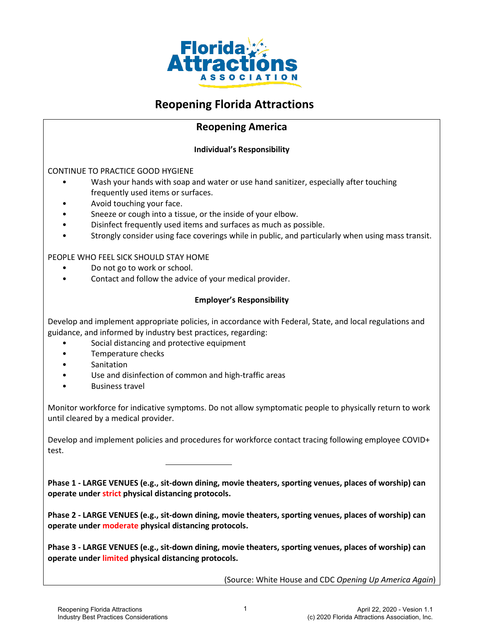

# **Reopening Florida Attractions**

## **Reopening America**

#### **Individual's Responsibility**

CONTINUE TO PRACTICE GOOD HYGIENE

- Wash your hands with soap and water or use hand sanitizer, especially after touching frequently used items or surfaces.
- Avoid touching your face.
- Sneeze or cough into a tissue, or the inside of your elbow.
- Disinfect frequently used items and surfaces as much as possible.
- Strongly consider using face coverings while in public, and particularly when using mass transit.

#### PEOPLE WHO FEEL SICK SHOULD STAY HOME

- Do not go to work or school.
- Contact and follow the advice of your medical provider.

#### **Employer's Responsibility**

Develop and implement appropriate policies, in accordance with Federal, State, and local regulations and guidance, and informed by industry best practices, regarding:

- Social distancing and protective equipment
- Temperature checks
- **Sanitation**
- Use and disinfection of common and high-traffic areas
- Business travel

Monitor workforce for indicative symptoms. Do not allow symptomatic people to physically return to work until cleared by a medical provider.

Develop and implement policies and procedures for workforce contact tracing following employee COVID+ test.

**Phase 1 - LARGE VENUES (e.g., sit-down dining, movie theaters, sporting venues, places of worship) can operate under strict physical distancing protocols.**

**Phase 2 - LARGE VENUES (e.g., sit-down dining, movie theaters, sporting venues, places of worship) can operate under moderate physical distancing protocols.**

**Phase 3 - LARGE VENUES (e.g., sit-down dining, movie theaters, sporting venues, places of worship) can operate under limited physical distancing protocols.**

(Source: White House and CDC *Opening Up America Again*)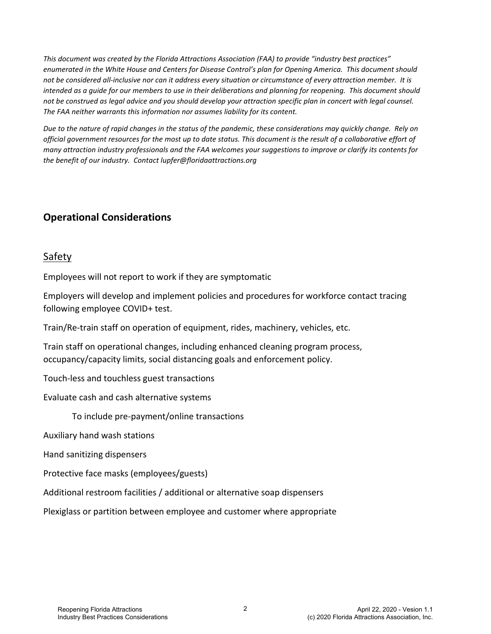*This document was created by the Florida Attractions Association (FAA) to provide "industry best practices" enumerated in the White House and Centers for Disease Control's plan for Opening America. This document should not be considered all-inclusive nor can it address every situation or circumstance of every attraction member. It is intended as a guide for our members to use in their deliberations and planning for reopening. This document should not be construed as legal advice and you should develop your attraction specific plan in concert with legal counsel. The FAA neither warrants this information nor assumes liability for its content.* 

*Due to the nature of rapid changes in the status of the pandemic, these considerations may quickly change. Rely on official government resources for the most up to date status. This document is the result of a collaborative effort of many attraction industry professionals and the FAA welcomes your suggestions to improve or clarify its contents for the benefit of our industry. Contact lupfer@floridaattractions.org*

# **Operational Considerations**

## Safety

Employees will not report to work if they are symptomatic

Employers will develop and implement policies and procedures for workforce contact tracing following employee COVID+ test.

Train/Re-train staff on operation of equipment, rides, machinery, vehicles, etc.

Train staff on operational changes, including enhanced cleaning program process, occupancy/capacity limits, social distancing goals and enforcement policy.

Touch-less and touchless guest transactions

Evaluate cash and cash alternative systems

To include pre-payment/online transactions

Auxiliary hand wash stations

Hand sanitizing dispensers

Protective face masks (employees/guests)

Additional restroom facilities / additional or alternative soap dispensers

Plexiglass or partition between employee and customer where appropriate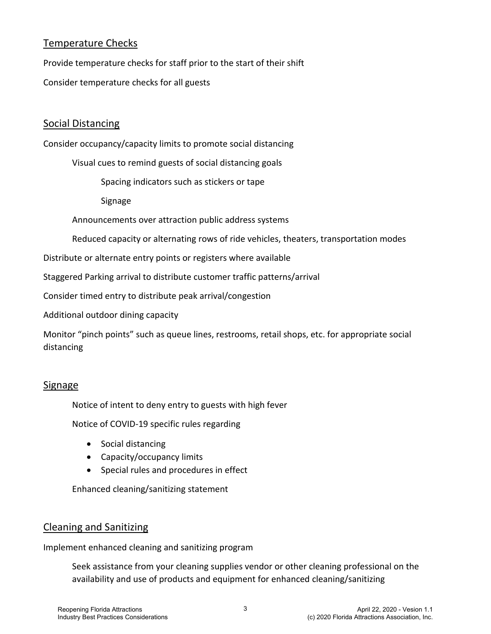# Temperature Checks

Provide temperature checks for staff prior to the start of their shift

Consider temperature checks for all guests

# Social Distancing

Consider occupancy/capacity limits to promote social distancing

Visual cues to remind guests of social distancing goals

Spacing indicators such as stickers or tape

Signage

Announcements over attraction public address systems

Reduced capacity or alternating rows of ride vehicles, theaters, transportation modes

Distribute or alternate entry points or registers where available

Staggered Parking arrival to distribute customer traffic patterns/arrival

Consider timed entry to distribute peak arrival/congestion

Additional outdoor dining capacity

Monitor "pinch points" such as queue lines, restrooms, retail shops, etc. for appropriate social distancing

### Signage

Notice of intent to deny entry to guests with high fever

Notice of COVID-19 specific rules regarding

- Social distancing
- Capacity/occupancy limits
- Special rules and procedures in effect

Enhanced cleaning/sanitizing statement

### Cleaning and Sanitizing

Implement enhanced cleaning and sanitizing program

Seek assistance from your cleaning supplies vendor or other cleaning professional on the availability and use of products and equipment for enhanced cleaning/sanitizing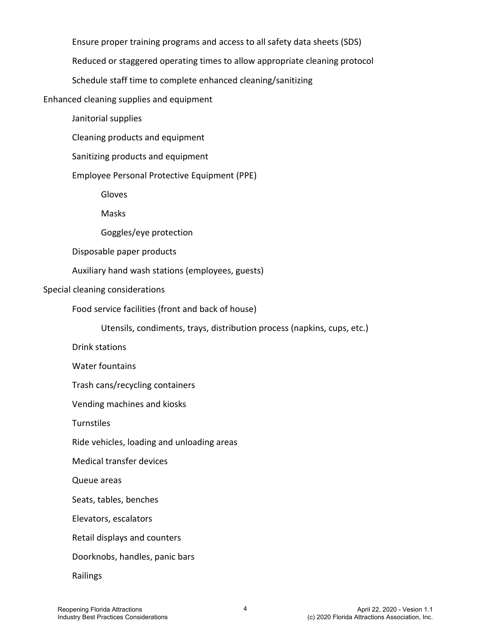Ensure proper training programs and access to all safety data sheets (SDS)

Reduced or staggered operating times to allow appropriate cleaning protocol

Schedule staff time to complete enhanced cleaning/sanitizing

Enhanced cleaning supplies and equipment

Janitorial supplies

Cleaning products and equipment

Sanitizing products and equipment

Employee Personal Protective Equipment (PPE)

Gloves

Masks

Goggles/eye protection

Disposable paper products

Auxiliary hand wash stations (employees, guests)

#### Special cleaning considerations

Food service facilities (front and back of house)

Utensils, condiments, trays, distribution process (napkins, cups, etc.)

Drink stations

Water fountains

Trash cans/recycling containers

Vending machines and kiosks

**Turnstiles** 

Ride vehicles, loading and unloading areas

Medical transfer devices

Queue areas

Seats, tables, benches

Elevators, escalators

Retail displays and counters

Doorknobs, handles, panic bars

Railings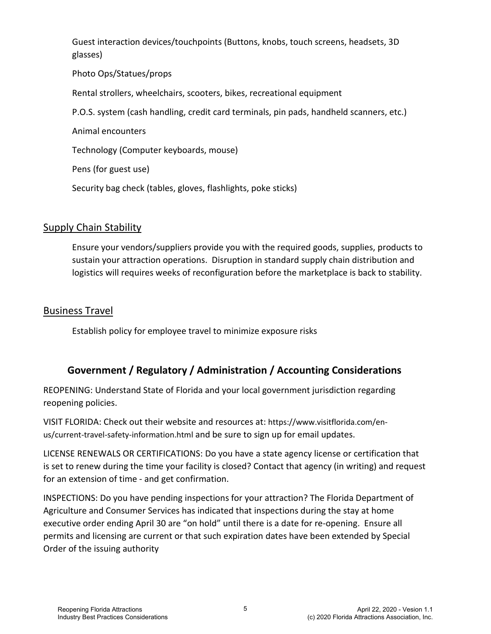Guest interaction devices/touchpoints (Buttons, knobs, touch screens, headsets, 3D glasses)

Photo Ops/Statues/props

Rental strollers, wheelchairs, scooters, bikes, recreational equipment

P.O.S. system (cash handling, credit card terminals, pin pads, handheld scanners, etc.)

Animal encounters

Technology (Computer keyboards, mouse)

Pens (for guest use)

Security bag check (tables, gloves, flashlights, poke sticks)

### Supply Chain Stability

Ensure your vendors/suppliers provide you with the required goods, supplies, products to sustain your attraction operations. Disruption in standard supply chain distribution and logistics will requires weeks of reconfiguration before the marketplace is back to stability.

### Business Travel

Establish policy for employee travel to minimize exposure risks

# **Government / Regulatory / Administration / Accounting Considerations**

REOPENING: Understand State of Florida and your local government jurisdiction regarding reopening policies.

VISIT FLORIDA: Check out their website and resources at: [https://www.visitflorida.com/en](https://www.visitflorida.com/en-us/current-travel-safety-information.html)[us/current-travel-safety-information.html](https://www.visitflorida.com/en-us/current-travel-safety-information.html) and be sure to sign up for email updates.

LICENSE RENEWALS OR CERTIFICATIONS: Do you have a state agency license or certification that is set to renew during the time your facility is closed? Contact that agency (in writing) and request for an extension of time - and get confirmation.

INSPECTIONS: Do you have pending inspections for your attraction? The Florida Department of Agriculture and Consumer Services has indicated that inspections during the stay at home executive order ending April 30 are "on hold" until there is a date for re-opening. Ensure all permits and licensing are current or that such expiration dates have been extended by Special Order of the issuing authority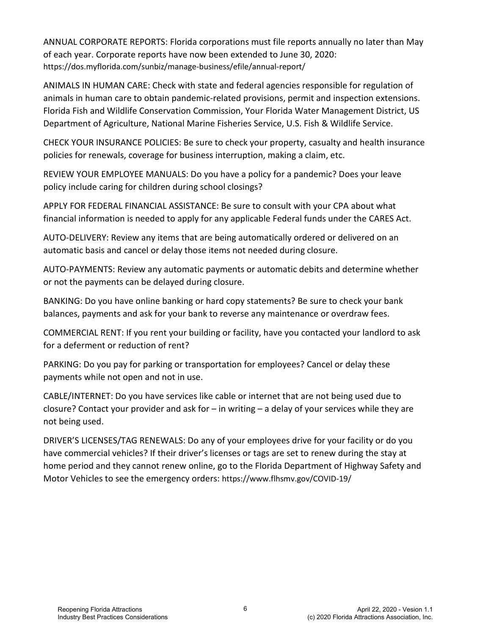ANNUAL CORPORATE REPORTS: Florida corporations must file reports annually no later than May of each year. Corporate reports have now been extended to June 30, 2020: <https://dos.myflorida.com/sunbiz/manage-business/efile/annual-report/>

ANIMALS IN HUMAN CARE: Check with state and federal agencies responsible for regulation of animals in human care to obtain pandemic-related provisions, permit and inspection extensions. Florida Fish and Wildlife Conservation Commission, Your Florida Water Management District, US Department of Agriculture, National Marine Fisheries Service, U.S. Fish & Wildlife Service.

CHECK YOUR INSURANCE POLICIES: Be sure to check your property, casualty and health insurance policies for renewals, coverage for business interruption, making a claim, etc.

REVIEW YOUR EMPLOYEE MANUALS: Do you have a policy for a pandemic? Does your leave policy include caring for children during school closings?

APPLY FOR FEDERAL FINANCIAL ASSISTANCE: Be sure to consult with your CPA about what financial information is needed to apply for any applicable Federal funds under the CARES Act.

AUTO-DELIVERY: Review any items that are being automatically ordered or delivered on an automatic basis and cancel or delay those items not needed during closure.

AUTO-PAYMENTS: Review any automatic payments or automatic debits and determine whether or not the payments can be delayed during closure.

BANKING: Do you have online banking or hard copy statements? Be sure to check your bank balances, payments and ask for your bank to reverse any maintenance or overdraw fees.

COMMERCIAL RENT: If you rent your building or facility, have you contacted your landlord to ask for a deferment or reduction of rent?

PARKING: Do you pay for parking or transportation for employees? Cancel or delay these payments while not open and not in use.

CABLE/INTERNET: Do you have services like cable or internet that are not being used due to closure? Contact your provider and ask for – in writing – a delay of your services while they are not being used.

DRIVER'S LICENSES/TAG RENEWALS: Do any of your employees drive for your facility or do you have commercial vehicles? If their driver's licenses or tags are set to renew during the stay at home period and they cannot renew online, go to the Florida Department of Highway Safety and Motor Vehicles to see the emergency orders[: https://www.flhsmv.gov/COVID-19/](https://www.flhsmv.gov/COVID-19/)